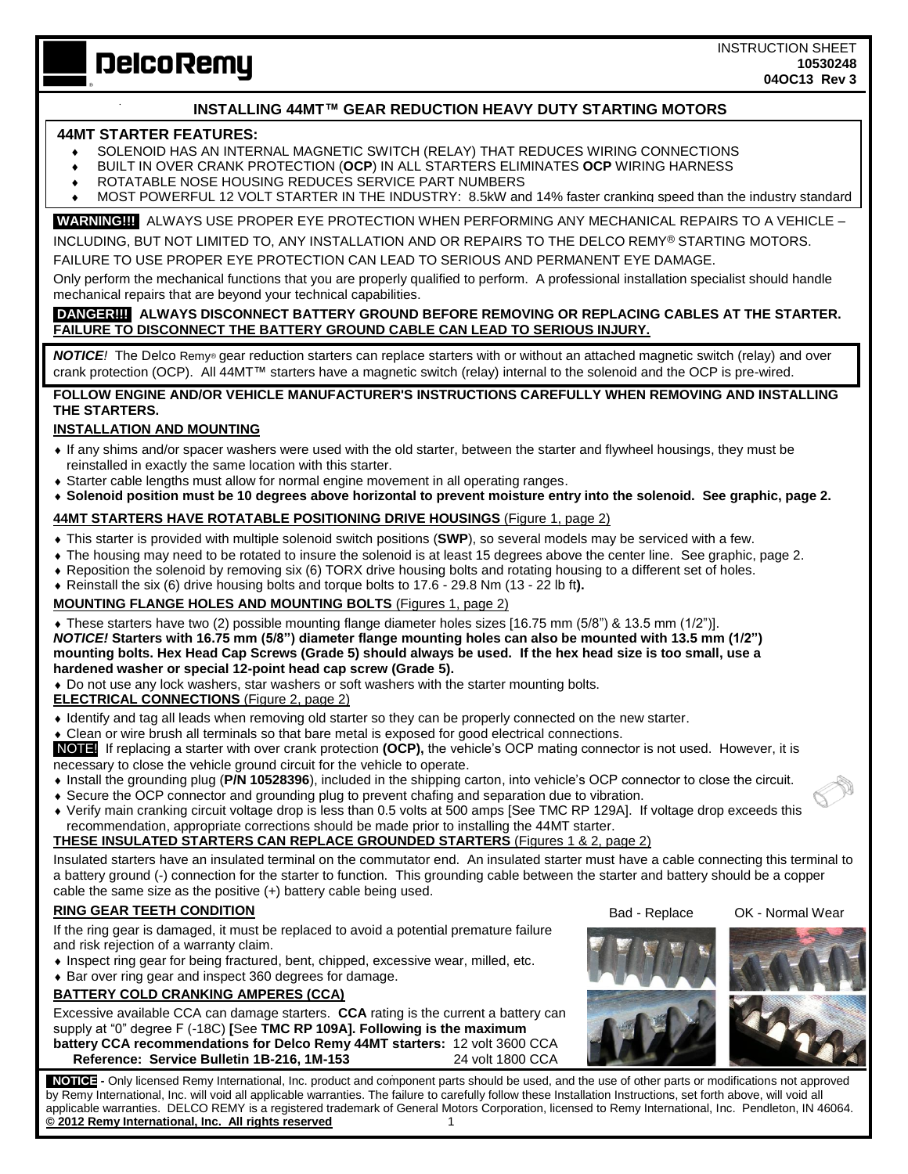**DelcoRemy** 

INSTRUCTION SHEET **10530248 04OC13 Rev 3** 

## **INSTALLING 44MT™ GEAR REDUCTION HEAVY DUTY STARTING MOTORS**

#### **44MT STARTER FEATURES:**

 $\mathbb{Z}^2$ 

- SOLENOID HAS AN INTERNAL MAGNETIC SWITCH (RELAY) THAT REDUCES WIRING CONNECTIONS
- BUILT IN OVER CRANK PROTECTION (**OCP**) IN ALL STARTERS ELIMINATES **OCP** WIRING HARNESS
- ROTATABLE NOSE HOUSING REDUCES SERVICE PART NUMBERS
- MOST POWERFUL 12 VOLT STARTER IN THE INDUSTRY: 8.5kW and 14% faster cranking speed than the industry standard

**WARNING!!!** ALWAYS USE PROPER EYE PROTECTION WHEN PERFORMING ANY MECHANICAL REPAIRS TO A VEHICLE – INCLUDING, BUT NOT LIMITED TO, ANY INSTALLATION AND OR REPAIRS TO THE DELCO REMYⓇ STARTING MOTORS.

FAILURE TO USE PROPER EYE PROTECTION CAN LEAD TO SERIOUS AND PERMANENT EYE DAMAGE.

Only perform the mechanical functions that you are properly qualified to perform. A professional installation specialist should handle mechanical repairs that are beyond your technical capabilities.

## **DANGER!!! ALWAYS DISCONNECT BATTERY GROUND BEFORE REMOVING OR REPLACING CABLES AT THE STARTER. FAILURE TO DISCONNECT THE BATTERY GROUND CABLE CAN LEAD TO SERIOUS INJURY.**

*NOTICE!* The Delco Remy® gear reduction starters can replace starters with or without an attached magnetic switch (relay) and over crank protection (OCP). All 44MT™ starters have a magnetic switch (relay) internal to the solenoid and the OCP is pre-wired.

### **FOLLOW ENGINE AND/OR VEHICLE MANUFACTURER'S INSTRUCTIONS CAREFULLY WHEN REMOVING AND INSTALLING THE STARTERS.**

## **INSTALLATION AND MOUNTING**

- If any shims and/or spacer washers were used with the old starter, between the starter and flywheel housings, they must be reinstalled in exactly the same location with this starter.
- Starter cable lengths must allow for normal engine movement in all operating ranges.
- **Solenoid position must be 10 degrees above horizontal to prevent moisture entry into the solenoid. See graphic, page 2.**

#### **44MT STARTERS HAVE ROTATABLE POSITIONING DRIVE HOUSINGS** (Figure 1, page 2)

- This starter is provided with multiple solenoid switch positions (**SWP**), so several models may be serviced with a few.
- The housing may need to be rotated to insure the solenoid is at least 15 degrees above the center line. See graphic, page 2.
- Reposition the solenoid by removing six (6) TORX drive housing bolts and rotating housing to a different set of holes.
- Reinstall the six (6) drive housing bolts and torque bolts to 17.6 29.8 Nm (13 22 lb ft**).**

### **MOUNTING FLANGE HOLES AND MOUNTING BOLTS** (Figures 1, page 2)

 These starters have two (2) possible mounting flange diameter holes sizes [16.75 mm (5/8") & 13.5 mm (1/2")]. *NOTICE!* **Starters with 16.75 mm (5/8") diameter flange mounting holes can also be mounted with 13.5 mm (1/2") mounting bolts. Hex Head Cap Screws (Grade 5) should always be used. If the hex head size is too small, use a hardened washer or special 12-point head cap screw (Grade 5).**

Do not use any lock washers, star washers or soft washers with the starter mounting bolts.

**ELECTRICAL CONNECTIONS** (Figure 2, page 2)

- Identify and tag all leads when removing old starter so they can be properly connected on the new starter.
- Clean or wire brush all terminals so that bare metal is exposed for good electrical connections.

NOTE! If replacing a starter with over crank protection **(OCP),** the vehicle's OCP mating connector is not used. However, it is necessary to close the vehicle ground circuit for the vehicle to operate.

- Install the grounding plug (**P/N 10528396**), included in the shipping carton, into vehicle's OCP connector to close the circuit.
- Secure the OCP connector and grounding plug to prevent chafing and separation due to vibration.
- Verify main cranking circuit voltage drop is less than 0.5 volts at 500 amps [See TMC RP 129A]. If voltage drop exceeds this recommendation, appropriate corrections should be made prior to installing the 44MT starter.

#### **THESE INSULATED STARTERS CAN REPLACE GROUNDED STARTERS** (Figures 1 & 2, page 2)

Insulated starters have an insulated terminal on the commutator end. An insulated starter must have a cable connecting this terminal to a battery ground (-) connection for the starter to function. This grounding cable between the starter and battery should be a copper cable the same size as the positive (+) battery cable being used.

## **RING GEAR TEETH CONDITION**

If the ring gear is damaged, it must be replaced to avoid a potential premature failure and risk rejection of a warranty claim.

- Inspect ring gear for being fractured, bent, chipped, excessive wear, milled, etc.
- Bar over ring gear and inspect 360 degrees for damage.

# **BATTERY COLD CRANKING AMPERES (CCA)**

Excessive available CCA can damage starters. **CCA** rating is the current a battery can supply at "0" degree F (-18C) **[**See **TMC RP 109A]. Following is the maximum battery CCA recommendations for Delco Remy 44MT starters:** 12 volt 3600 CCA **Reference: Service Bulletin 1B-216, 1M-153** 24 volt 1800 CCA

Bad - Replace OK - Normal Wear



 **NOTICE -** Only licensed Remy International, Inc. product and component parts should be used, and the use of other parts or modifications not approved by Remy International, Inc. will void all applicable warranties. The failure to carefully follow these Installation Instructions, set forth above, will void all applicable warranties. DELCO REMY is a registered trademark of General Motors Corporation, licensed to Remy International, Inc. Pendleton, IN 46064. **© 2012 Remy International, Inc. All rights reserved** 1

**Technical support: USA 800 272 0222, Mexico 01 800 000 7378, Brazil 0800 703 3526, South America 55 11 2106 6510 or visit**